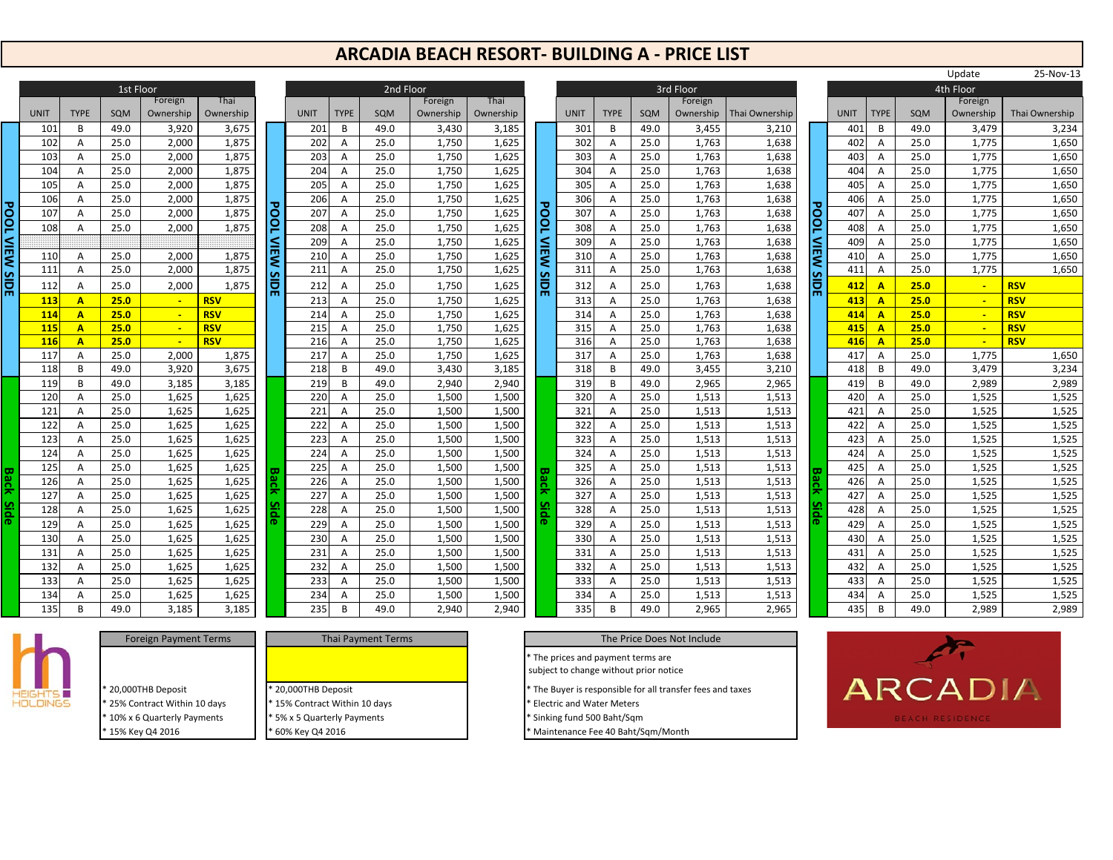## **ARCADIA BEACH RESORT‐ BUILDING A ‐ PRICE LIST**

|                       |             |             | 1st Floor |           |            |                       |                  |             | 2nd  |
|-----------------------|-------------|-------------|-----------|-----------|------------|-----------------------|------------------|-------------|------|
|                       |             |             |           | Foreign   | Thai       |                       |                  |             |      |
|                       | <b>UNIT</b> | <b>TYPE</b> | SQM       | Ownership | Ownership  |                       | <b>UNIT</b>      | <b>TYPE</b> | SQM  |
|                       | 101         | B           | 49.0      | 3,920     | 3,675      |                       | 201              | B           | 49.0 |
|                       | 102         | A           | 25.0      | 2,000     | 1,875      |                       | 202              | A           | 25.0 |
|                       | 103         | A           | 25.0      | 2,000     | 1,875      |                       | 203              | A           | 25.0 |
|                       | 104         | Α           | 25.0      | 2,000     | 1,875      |                       | 204              | A           | 25.0 |
|                       | 105         | A           | 25.0      | 2,000     | 1,875      |                       | 205              | A           | 25.0 |
|                       | 106         | A           | 25.0      | 2,000     | 1,875      |                       | 206              | A           | 25.0 |
|                       | 107         | A           | 25.0      | 2,000     | 1,875      |                       | 207              | A           | 25.0 |
|                       | 108         | A           | 25.0      | 2,000     | 1,875      |                       | 208              | A           | 25.0 |
|                       |             |             |           |           |            |                       | 209              | A           | 25.0 |
|                       | 110         | A           | 25.0      | 2,000     | 1,875      |                       | 210              | A           | 25.0 |
|                       | 111         | Ā           | 25.0      | 2,000     | 1,875      |                       | 211              | A           | 25.0 |
| <b>POOL VIEW SIDE</b> | 112         | Α           | 25.0      | 2,000     | 1,875      | <b>POOL VIEW SIDE</b> | 212              | Α           | 25.0 |
|                       | 113         | A           | 25.0      |           | <b>RSV</b> |                       | 213              | A           | 25.0 |
|                       | 114         | A           | 25.0      |           | <b>RSV</b> |                       | 214              | A           | 25.0 |
|                       | 115         | Ā           | 25.0      | L,        | <b>RSV</b> |                       | $\overline{215}$ | A           | 25.0 |
|                       | 116         | A           | 25.0      | ÷         | <b>RSV</b> |                       | 216              | A           | 25.0 |
|                       | 117         | А           | 25.0      | 2,000     | 1,875      |                       | 217              | Α           | 25.0 |
|                       | 118         | B           | 49.0      | 3,920     | 3,675      |                       | 218              | B           | 49.0 |
|                       | 119         | B           | 49.0      | 3,185     | 3,185      |                       | 219              | B           | 49.0 |
|                       | 120         | Α           | 25.0      | 1,625     | 1,625      |                       | 220              | A           | 25.0 |
|                       | 121         | Α           | 25.0      | 1,625     | 1,625      |                       | 221              | A           | 25.0 |
|                       | 122         | A           | 25.0      | 1,625     | 1,625      |                       | 222              | A           | 25.0 |
|                       | 123         | A           | 25.0      | 1,625     | 1,625      |                       | 223              | A           | 25.0 |
|                       | 124         | A           | 25.0      | 1,625     | 1,625      |                       | 224              | A           | 25.0 |
|                       | 125         | A           | 25.0      | 1,625     | 1,625      |                       | 225              | A           | 25.0 |
| <b>Back</b>           | 126         | A           | 25.0      | 1,625     | 1,625      | <b>Back</b>           | 226              | A           | 25.0 |
|                       | 127         | A           | 25.0      | 1,625     | 1,625      |                       | 227              | A           | 25.0 |
| <b>Side</b>           | 128         | A           | 25.0      | 1,625     | 1,625      | Side                  | 228              | A           | 25.0 |
|                       | 129         | A           | 25.0      | 1,625     | 1,625      |                       | 229              | A           | 25.0 |
|                       | 130         | A           | 25.0      | 1,625     | 1,625      |                       | 230              | Α           | 25.0 |
|                       | 131         | A           | 25.0      | 1,625     | 1,625      |                       | 231              | A           | 25.0 |
|                       | 132         | A           | 25.0      | 1,625     | 1,625      |                       | 232              | A           | 25.0 |
|                       | 133         | A           | 25.0      | 1,625     | 1,625      |                       | 233              | A           | 25.0 |
|                       | 134         | A           | 25.0      | 1,625     | 1,625      |                       | 234              | Α           | 25.0 |
|                       | 135         | B           | 49.0      | 3,185     | 3,185      |                       | 235              | B           | 49.0 |

|            |                         | <b>IST FIOOL</b> |                |                |             |                    |                  | zna Floor    |                |                |                 |                  |                  |             | <b>STO FIOOT</b> |                |             |             |                   |              | 4th Floor      |                |
|------------|-------------------------|------------------|----------------|----------------|-------------|--------------------|------------------|--------------|----------------|----------------|-----------------|------------------|------------------|-------------|------------------|----------------|-------------|-------------|-------------------|--------------|----------------|----------------|
|            |                         |                  | Foreign        | Thai           |             |                    |                  |              | Foreign        | Thai           |                 |                  |                  |             | Foreign          |                |             |             |                   |              | Foreign        |                |
| T          | <b>TYPE</b>             | SQM              | Ownership      | Ownership      |             | <b>UNIT</b><br>201 | <b>TYPE</b><br>B | SQM          | Ownership      | Ownership      |                 | <b>UNIT</b>      | <b>TYPE</b><br>B | SQM<br>49.0 | Ownership        | Thai Ownership |             | <b>UNIT</b> | <b>TYPE</b><br>B. | SQM          | Ownership      | Thai Ownership |
| 101<br>102 | B                       | 49.0<br>25.0     | 3,920          | 3,675          |             | 202                |                  | 49.0<br>25.0 | 3,430<br>1,750 | 3,185          |                 | 301<br>302       | A                | 25.0        | 3,455            | 3,210<br>1,638 |             | 401<br>402  |                   | 49.0<br>25.0 | 3,479<br>1,775 | 3,234<br>1,650 |
| 103        | A                       | 25.0             | 2,000<br>2,000 | 1,875<br>1,875 |             | 203                | A                | 25.0         | 1,750          | 1,625<br>1,625 |                 | 303              | $\overline{A}$   | 25.0        | 1,763<br>1,763   | 1,638          |             | 403         | A                 | 25.0         | 1,775          | 1,650          |
| 104        | A                       | 25.0             | 2,000          | 1,875          |             | 204                | A                | 25.0         | 1,750          | 1,625          |                 | 304              | $\overline{A}$   | 25.0        | 1,763            | 1,638          |             | 404         | A<br>A            | 25.0         | 1,775          | 1,650          |
| 105        | A                       | 25.0             | 2,000          | 1,875          |             | 205                | A                | 25.0         | 1,750          | 1,625          |                 | 305              | $\overline{A}$   | 25.0        | 1,763            | 1,638          |             | 405         | A                 | 25.0         | 1,775          | 1,650          |
| 106        | A<br>A                  | 25.0             | 2,000          | 1,875          |             | 206                | A<br>A           | 25.0         | 1,750          | 1,625          |                 | 306              | $\overline{A}$   | 25.0        | 1,763            | 1,638          |             | 406         | A                 | 25.0         | 1,775          | 1,650          |
| 107        | A                       | 25.0             | 2,000          | 1,875          |             | 207                | A                | 25.0         | 1,750          | 1,625          |                 | 307              | A                | 25.0        | 1,763            | 1,638          |             | 407         | A                 | 25.0         | 1,775          | 1,650          |
| 108        | A                       | 25.0             | 2,000          | 1,875          | <b>Pool</b> | 208                | A                | 25.0         | 1,750          | 1,625          | <b>POOL</b>     | 308              | $\overline{A}$   | 25.0        | 1,763            | 1,638          | <b>Pool</b> | 408         | A                 | 25.0         | 1,775          | 1,650          |
|            |                         |                  |                |                |             | 209                | A                | 25.0         | 1,750          | 1,625          |                 | 309              | A                | 25.0        | 1,763            | 1,638          |             | 409         | A                 | 25.0         | 1,775          | 1,650          |
| 110        | A                       | 25.0             | 2,000          | 1,875          | l≦          | 210                | A                | 25.0         | 1,750          | 1,625          |                 | 310              | $\overline{A}$   | 25.0        | 1,763            | 1,638          | VIEW        | 410         | A                 | 25.0         | 1,775          | 1,650          |
| 111        | A                       | 25.0             | 2,000          | 1,875          | ∣≲          | 211                | A                | 25.0         | 1,750          | 1,625          |                 | 311              | A                | 25.0        | 1,763            | 1,638          |             | 411         | Α                 | 25.0         | 1,775          | 1,650          |
| 112        | A                       | 25.0             | 2,000          | 1,875          | <b>SIDE</b> | 212                | A                | 25.0         | 1,750          | 1,625          | <b>NEW SIDE</b> | 312              | A                | 25.0        | 1,763            | 1,638          | <b>SIDE</b> | 412         | $\overline{A}$    | 25.0         | $\sim$         | <b>RSV</b>     |
| 113        | $\overline{A}$          | 25.0             | $\blacksquare$ | <b>RSV</b>     |             | 213                | A                | 25.0         | 1,750          | 1,625          |                 | 313              | $\overline{A}$   | 25.0        | 1,763            | 1,638          |             | 413         | $\overline{A}$    | 25.0         | $\sim$         | <b>RSV</b>     |
| 114        | $\overline{\mathbf{A}}$ | 25.0             |                | <b>RSV</b>     |             | 214                | A                | 25.0         | 1,750          | 1,625          |                 | 314              | $\overline{A}$   | 25.0        | 1,763            | 1,638          |             | 414         | $\blacktriangle$  | 25.0         | $\sim$         | <b>RSV</b>     |
| 115        | $\overline{A}$          | 25.0             | $\sim$         | <b>RSV</b>     |             | 215                | A                | 25.0         | 1,750          | 1,625          |                 | $\overline{315}$ | $\overline{A}$   | 25.0        | 1,763            | 1,638          |             | 415         | $\overline{A}$    | 25.0         | $\sim$         | <b>RSV</b>     |
| 116        | $\overline{\mathbf{A}}$ | 25.0             | $\sim$         | <b>RSV</b>     |             | 216                | A                | 25.0         | 1,750          | 1,625          |                 | 316              | $\overline{A}$   | 25.0        | 1,763            | 1,638          |             | 416         | $\blacktriangle$  | 25.0         | $\sim$         | <b>RSV</b>     |
| 117        | A                       | 25.0             | 2,000          | 1,875          |             | 217                | A                | 25.0         | 1,750          | 1,625          |                 | 317              | Α                | 25.0        | 1,763            | 1,638          |             | 417         | A                 | 25.0         | 1,775          | 1,650          |
| 118        | B                       | 49.0             | 3,920          | 3,675          |             | 218                | B                | 49.0         | 3,430          | 3,185          |                 | 318              | B                | 49.0        | 3,455            | 3,210          |             | 418         | B                 | 49.0         | 3,479          | 3,234          |
| 119        | B                       | 49.0             | 3,185          | 3,185          |             | 219                | B                | 49.0         | 2,940          | 2,940          |                 | 319              | B                | 49.0        | 2,965            | 2,965          |             | 419         | B                 | 49.0         | 2,989          | 2,989          |
| 120        | $\overline{A}$          | 25.0             | 1,625          | 1,625          |             | 220                | $\overline{A}$   | 25.0         | 1,500          | 1,500          |                 | 320              | $\overline{A}$   | 25.0        | 1,513            | 1,513          |             | 420         | A                 | 25.0         | 1,525          | 1,525          |
| 121        | A                       | 25.0             | 1,625          | 1,625          |             | 221                | A                | 25.0         | 1,500          | 1,500          |                 | 321              | $\overline{A}$   | 25.0        | 1,513            | 1,513          |             | 421         | A                 | 25.0         | 1,525          | 1,525          |
| 122        | A                       | 25.0             | 1,625          | 1,625          |             | 222                | A                | 25.0         | 1,500          | 1,500          |                 | 322              | $\overline{A}$   | 25.0        | 1,513            | 1,513          |             | 422         | A                 | 25.0         | 1,525          | 1,525          |
| 123        | A                       | 25.0             | 1,625          | 1,625          |             | 223                | A                | 25.0         | 1,500          | 1,500          |                 | 323              | $\overline{A}$   | 25.0        | 1,513            | 1,513          |             | 423         | A                 | 25.0         | 1,525          | 1,525          |
| 124        | A                       | 25.0             | 1,625          | 1,625          |             | 224                | A                | 25.0         | 1,500          | 1,500          |                 | 324              | $\overline{A}$   | 25.0        | 1,513            | 1,513          |             | 424         | A                 | 25.0         | 1,525          | 1,525          |
| 125        | A                       | 25.0             | 1,625          | 1,625          | lЗа         | 225                | A                | 25.0         | 1,500          | 1,500          |                 | 325              | $\overline{A}$   | 25.0        | 1,513            | 1,513          | 쫆           | 425         | A                 | 25.0         | 1,525          | 1,525          |
| 126        | A                       | 25.0             | 1,625          | 1,625          |             | 226                | A                | 25.0         | 1,500          | 1,500          | <b>Back</b>     | 326              | $\overline{A}$   | 25.0        | 1,513            | 1,513          |             | 426         | A                 | 25.0         | 1,525          | 1,525          |
| 127        | A                       | 25.0             | 1,625          | 1,625          |             | 227                | A                | 25.0         | 1,500          | 1,500          |                 | 327              | $\overline{A}$   | 25.0        | 1,513            | 1,513          |             | 427         | A                 | 25.0         | 1,525          | 1,525          |
| 128        | A                       | 25.0             | 1,625          | 1,625          | ā           | 228                | A                | 25.0         | 1,500          | 1,500          | <b>Side</b>     | 328              | $\overline{A}$   | 25.0        | 1,513            | 1,513          | Side        | 428         | A                 | 25.0         | 1,525          | 1,525          |
| 129        | A                       | 25.0             | 1,625          | 1,625          |             | 229                | A                | 25.0         | 1,500          | 1,500          |                 | 329              | $\overline{A}$   | 25.0        | 1,513            | 1,513          |             | 429         | A                 | 25.0         | 1,525          | 1,525          |
| 130        | A                       | 25.0             | 1,625          | 1,625          |             | 230                | A                | 25.0         | 1,500          | 1,500          |                 | 330              | $\overline{A}$   | 25.0        | 1,513            | 1,513          |             | 430         | A                 | 25.0         | 1,525          | 1,525          |
| 131        | A                       | 25.0             | 1,625          | 1,625          |             | 231                | A                | 25.0         | 1,500          | 1,500          |                 | 331              | $\overline{A}$   | 25.0        | 1,513            | 1,513          |             | 431         | A                 | 25.0         | 1,525          | 1,525          |
| 132        | A                       | 25.0             | 1,625          | 1,625          |             | 232                | A                | 25.0         | 1,500          | 1,500          |                 | 332              | Α                | 25.0        | 1,513            | 1,513          |             | 432         | A                 | 25.0         | 1,525          | 1,525          |
| 133        | A                       | 25.0             | 1,625          | 1,625          |             | 233                | A                | 25.0         | 1,500          | 1,500          |                 | 333              | $\overline{A}$   | 25.0        | 1,513            | 1,513          |             | 433         | A                 | 25.0         | 1,525          | 1,525          |
| 134        | A                       | 25.0             | 1,625          | 1,625          |             | 234                |                  | 25.0         | 1,500          | 1,500          |                 | 334              | Α                | 25.0        | 1,513            | 1,513          |             | 434         |                   | 25.0         | 1,525          | 1,525          |
| 135        | B                       | 49.0             | 3,185          | 3,185          |             | 235                | R                | 49.0         | 2,940          | 2,940          |                 | 335              | B                | 49.0        | 2,965            | 2,965          |             | 435         | B                 | 49.0         | 2,989          | 2,989          |

| d Floor   |           |             |                  |             |      | 3rd Floor |                |                  |             |                         |      | 4th Floor |
|-----------|-----------|-------------|------------------|-------------|------|-----------|----------------|------------------|-------------|-------------------------|------|-----------|
| Foreign   | Thai      |             |                  |             |      | Foreign   |                |                  |             |                         |      | Fore      |
| Ownership | Ownership |             | <b>UNIT</b>      | <b>TYPE</b> | SQM  | Ownership | Thai Ownership |                  | <b>UNIT</b> | <b>TYPE</b>             | SQM  | Owne      |
| 3,430     | 3,185     |             | 301              | B           | 49.0 | 3,455     | 3,210          |                  | 401         | B                       | 49.0 |           |
| 1,750     | 1,625     |             | 302              | Α           | 25.0 | 1,763     | 1,638          |                  | 402         | A                       | 25.0 |           |
| 1,750     | 1,625     |             | 303              | A           | 25.0 | 1,763     | 1,638          |                  | 403         | A                       | 25.0 |           |
| 1,750     | 1,625     |             | 304              | A           | 25.0 | 1,763     | 1,638          |                  | 404         | A                       | 25.0 |           |
| 1,750     | 1,625     |             | 305              | А           | 25.0 | 1,763     | 1,638          |                  | 405         | Α                       | 25.0 |           |
| 1,750     | 1,625     |             | 306              | Α           | 25.0 | 1,763     | 1,638          |                  | 406         | A                       | 25.0 |           |
| 1,750     | 1,625     | <b>POOL</b> | 307              | A           | 25.0 | 1,763     | 1,638          | <b>POOL</b>      | 407         | A                       | 25.0 |           |
| 1,750     | 1,625     |             | 308              | A           | 25.0 | 1,763     | 1,638          |                  | 408         | A                       | 25.0 |           |
| 1,750     | 1,625     |             | 309              | A           | 25.0 | 1,763     | 1,638          |                  | 409         | A                       | 25.0 |           |
| 1,750     | 1,625     | NEW         | 310              | Α           | 25.0 | 1,763     | 1,638          |                  | 410         | Α                       | 25.0 |           |
| 1,750     | 1,625     |             | $\overline{311}$ | A           | 25.0 | 1,763     | 1,638          |                  | 411         | $\overline{A}$          | 25.0 |           |
| 1,750     | 1,625     | <b>SIDE</b> | 312              | А           | 25.0 | 1,763     | 1,638          | <b>VIEW SIDE</b> | 412         | A                       | 25.0 |           |
| 1,750     | 1,625     |             | 313              | A           | 25.0 | 1,763     | 1,638          |                  | 413         | $\overline{\mathsf{A}}$ | 25.0 |           |
| 1,750     | 1,625     |             | 314              | A           | 25.0 | 1,763     | 1,638          |                  | 414         | A                       | 25.0 |           |
| 1,750     | 1,625     |             | 315              | Α           | 25.0 | 1,763     | 1,638          |                  | 415         | A                       | 25.0 |           |
| 1,750     | 1,625     |             | 316              | A           | 25.0 | 1,763     | 1,638          |                  | 416         | A                       | 25.0 |           |
| 1,750     | 1,625     |             | 317              | Α           | 25.0 | 1,763     | 1,638          |                  | 417         | A                       | 25.0 |           |
| 3,430     | 3,185     |             | 318              | B           | 49.0 | 3,455     | 3,210          |                  | 418         | B                       | 49.0 |           |
| 2,940     | 2,940     |             | 319              | B           | 49.0 | 2,965     | 2,965          |                  | 419         | B                       | 49.0 |           |
| 1,500     | 1,500     |             | 320              | A           | 25.0 | 1,513     | 1,513          |                  | 420         | A                       | 25.0 |           |
| 1,500     | 1,500     |             | 321              | A           | 25.0 | 1,513     | 1,513          |                  | 421         | A                       | 25.0 |           |
| 1,500     | 1,500     |             | 322              | A           | 25.0 | 1,513     | 1,513          |                  | 422         | A                       | 25.0 |           |
| 1,500     | 1,500     |             | 323              | A           | 25.0 | 1,513     | 1,513          |                  | 423         | A                       | 25.0 |           |
| 1,500     | 1,500     |             | 324              | А           | 25.0 | 1,513     | 1,513          |                  | 424         | A                       | 25.0 |           |
| 1,500     | 1,500     |             | 325              | A           | 25.0 | 1,513     | 1,513          |                  | 425         | A                       | 25.0 |           |
| 1,500     | 1,500     | Back        | 326              | A           | 25.0 | 1,513     | 1,513          | <b>Back</b>      | 426         | A                       | 25.0 |           |
| 1,500     | 1,500     |             | 327              | A           | 25.0 | 1,513     | 1,513          |                  | 427         | A                       | 25.0 |           |
| 1,500     | 1,500     | <b>Side</b> | 328              | A           | 25.0 | 1,513     | 1,513          | <b>Side</b>      | 428         | A                       | 25.0 |           |
| 1,500     | 1,500     |             | 329              | Α           | 25.0 | 1,513     | 1,513          |                  | 429         | Α                       | 25.0 |           |
| 1,500     | 1,500     |             | 330              | A           | 25.0 | 1,513     | 1,513          |                  | 430         | A                       | 25.0 |           |
| 1,500     | 1,500     |             | 331              | Α           | 25.0 | 1,513     | 1,513          |                  | 431         | Α                       | 25.0 |           |
| 1,500     | 1,500     |             | 332              | Α           | 25.0 | 1,513     | 1,513          |                  | 432         | Α                       | 25.0 |           |
| 1,500     | 1,500     |             | 333              | Α           | 25.0 | 1,513     | 1,513          |                  | 433         | A                       | 25.0 |           |
| 1,500     | 1,500     |             | 334              | A           | 25.0 | 1,513     | 1,513          |                  | 434         | A                       | 25.0 |           |
| 2,940     | 2,940     |             | 335              | B           | 49.0 | 2,965     | 2,965          |                  | 435         | B                       | 49.0 |           |
|           |           |             |                  |             |      |           |                |                  |             |                         |      |           |

|                  |              |              |                |                |             |                  |             |              |                |                | Update      | 25-Nov-13   |                |              |                |                |
|------------------|--------------|--------------|----------------|----------------|-------------|------------------|-------------|--------------|----------------|----------------|-------------|-------------|----------------|--------------|----------------|----------------|
|                  |              | 2nd Floor    |                |                |             |                  |             |              | 3rd Floor      |                |             |             |                |              | 4th Floor      |                |
|                  |              |              | Foreign        | Thai           |             |                  |             |              | Foreign        |                |             |             |                |              | Foreign        |                |
| IT.              | <b>TYPE</b>  | SQM          | Ownership      | Ownership      |             | <b>UNIT</b>      | <b>TYPE</b> | SQM          | Ownership      | Thai Ownership |             | <b>UNIT</b> | <b>TYPE</b>    | SQM          | Ownership      | Thai Ownership |
| 201              | B            | 49.0         | 3,430          | 3,185          |             | 301              | В           | 49.0         | 3,455          | 3,210          |             | 401         | B              | 49.0         | 3,479          | 3,234          |
| 202              | A            | 25.0         | 1,750          | 1,625          |             | 302              | Α           | 25.0         | 1,763          | 1,638          |             | 402         | A              | 25.0         | 1,775          | 1,650          |
| 203              | A            | 25.0         | 1,750          | 1,625          |             | 303              | A           | 25.0         | 1,763          | 1,638          |             | 403         | A              | 25.0         | 1,775          | 1,650          |
| 204              | А            | 25.0         | 1,750          | 1,625          |             | 304              | А           | 25.0         | 1,763          | 1,638          |             | 404         | А              | 25.0         | 1,775          | 1,650          |
| 205              | А            | 25.0         | 1,750          | 1,625          |             | 305              | А           | 25.0         | 1,763          | 1,638          |             | 405         | А              | 25.0         | 1,775          | 1,650          |
| 206              | A            | 25.0         | 1,750          | 1,625          |             | 306              | A           | 25.0         | 1,763          | 1,638          |             | 406         | A              | 25.0         | 1,775          | 1,650          |
| 207              | A            | 25.0         | 1,750          | 1,625          | <b>POOL</b> | 307              | А           | 25.0         | 1,763          | 1,638          | <b>POOL</b> | 407         | A              | 25.0         | 1,775          | 1,650          |
| 208              | A            | 25.0         | 1,750          | 1,625          |             | 308              | A           | 25.0         | 1,763          | 1,638          |             | 408         | A              | 25.0         | 1,775          | 1,650          |
| 209              | А            | 25.0         | 1,750          | 1,625          |             | 309              | А           | 25.0         | 1,763          | 1,638          |             | 409         | A              | 25.0         | 1,775          | 1,650          |
| 210              | А            | 25.0         | 1,750          | 1,625          | <b>NIEW</b> | 310              | А           | 25.0         | 1,763          | 1,638          | <b>NIEW</b> | 410         | A              | 25.0         | 1,775          | 1,650          |
| 211              | A            | 25.0         | 1,750          | 1,625          |             | $\overline{311}$ | A           | 25.0         | 1,763          | 1,638          |             | 411         | А              | 25.0         | 1,775          | 1,650          |
| 212              | А            | 25.0         | 1,750          | 1,625          | <b>SIDE</b> | 312              | A           | 25.0         | 1,763          | 1,638          | <b>SIDE</b> | 412         | A              | 25.0         | $\blacksquare$ | <b>RSV</b>     |
| 213              | A            | 25.0         | 1,750          | 1,625          |             | 313              | А           | 25.0         | 1,763          | 1,638          |             | 413         | A              | 25.0         | $\blacksquare$ | <b>RSV</b>     |
| 214              | А            | 25.0         | 1,750          | 1,625          |             | 314              | A           | 25.0         | 1,763          | 1,638          |             | 414         | A              | 25.0         | $\blacksquare$ | <b>RSV</b>     |
| $\overline{215}$ | Α            | 25.0         | 1,750          | 1,625          |             | 315              | А           | 25.0         | 1,763          | 1,638          |             | 415         | $\overline{A}$ | 25.0         | $\blacksquare$ | <b>RSV</b>     |
| 216              | A            | 25.0         | 1,750          | 1,625          |             | 316              | Α           | 25.0         | 1,763          | 1,638          |             | 416         | $\overline{A}$ | 25.0         | ÷              | <b>RSV</b>     |
| 217              | A            | 25.0         | 1,750          | 1,625          |             | 317              | A           | 25.0         | 1,763          | 1,638          |             | 417         | A              | 25.0         | 1,775          | 1,650          |
| 218              | B            | 49.0         | 3,430          | 3,185          |             | 318              | B           | 49.0         | 3,455          | 3,210          |             | 418         | B              | 49.0         | 3,479          | 3,234          |
| 219              | B            | 49.0         | 2,940          | 2,940          |             | 319              | B           | 49.0         | 2,965          | 2,965          |             | 419         | B              | 49.0         | 2,989          | 2,989          |
| 220              | А            | 25.0         | 1,500          | 1,500          |             | 320              | А           | 25.0         | 1,513          | 1,513          |             | 420         | А              | 25.0         | 1,525          | 1,525          |
| 221              | А            | 25.0         | 1,500          | 1,500          |             | 321              | А           | 25.0         | 1,513          | 1,513          |             | 421         | A              | 25.0         | 1,525          | 1,525          |
| 222<br>223       | А            | 25.0         | 1,500          | 1,500          |             | 322<br>323       | А           | 25.0         | 1,513          | 1,513          |             | 422         | А              | 25.0         | 1,525          | 1,525          |
| 224              | A            | 25.0<br>25.0 | 1,500          | 1,500          |             | 324              | A<br>A      | 25.0<br>25.0 | 1,513<br>1,513 | 1,513<br>1,513 |             | 423<br>424  | A<br>A         | 25.0<br>25.0 | 1,525<br>1,525 | 1,525<br>1,525 |
|                  | A            |              | 1,500          | 1,500          |             |                  |             |              | 1,513          |                |             |             |                |              |                | 1,525          |
| 225              | А            | 25.0<br>25.0 | 1,500<br>1,500 | 1,500<br>1,500 | <b>Back</b> | 325<br>326       | А           | 25.0<br>25.0 | 1,513          | 1,513<br>1,513 | Back        | 425<br>426  | А<br>A         | 25.0<br>25.0 | 1,525<br>1,525 | 1,525          |
| 226<br>227       | A            | 25.0         |                |                |             | 327              | A<br>A      | 25.0         |                |                |             | 427         | A              | 25.0         |                | 1,525          |
| 228              | A            |              | 1,500          | 1,500          |             | 328              |             | 25.0         | 1,513          | 1,513          |             | 428         |                |              | 1,525          | 1,525          |
| 229              | А            | 25.0<br>25.0 | 1,500<br>1,500 | 1,500<br>1,500 | <b>Side</b> | 329              | А           | 25.0         | 1,513<br>1,513 | 1,513<br>1,513 | Side        | 429         | А<br>A         | 25.0<br>25.0 | 1,525<br>1,525 | 1,525          |
| 230              | A            | 25.0         | 1,500          |                |             | 330              | А<br>A      | 25.0         | 1,513          | 1,513          |             | 430         | A              | 25.0         | 1,525          |                |
| 231              | А<br>А       | 25.0         | 1,500          | 1,500<br>1,500 |             | 331              | А           | 25.0         | 1,513          | 1,513          |             | 431         | A              | 25.0         | 1,525          | 1,525<br>1,525 |
| 232              | А            | 25.0         | 1,500          | 1,500          |             | 332              | A           | 25.0         | 1,513          | 1,513          |             | 432         | A              | 25.0         | 1,525          | 1,525          |
| 233              | А            | 25.0         | 1,500          | 1,500          |             | 333              | А           | 25.0         | 1,513          | 1,513          |             | 433         | А              | 25.0         | 1,525          | 1,525          |
| 234              | A            | 25.0         | 1,500          | 1,500          |             | 334              | А           | 25.0         | 1,513          | 1,513          |             | 434         | A              | 25.0         | 1,525          | 1,525          |
| 235              | <sub>R</sub> | 49.0         | 2,940          | 2,940          |             | 335              | B           | 49.0         | 2,965          | 2,965          |             | 435         | R              | 49.0         | 2,989          | 2,989          |
|                  |              |              |                |                |             |                  |             |              |                |                |             |             |                |              |                |                |



\* 25%

\* 10%

\* 15%

20,000THB Deposit Foreign Payment Terms Thai Payment Terms

| * 20,000THB Deposit           |
|-------------------------------|
| * 15% Contract Within 10 days |
| * 5% x 5 Quarterly Payments   |
| 60% Key Q4 2016               |

The Price Does Not Include

\* The prices and payment terms are subject to change without prior notice

<sup>\*</sup> The Buyer is responsible for all transfer fees and taxes

<sup>\*</sup> Electric and Water Meters

<sup>\*</sup> Sinking fund 500 Baht/Sqm Maintenance Fee 40 Baht/Sqm/Month